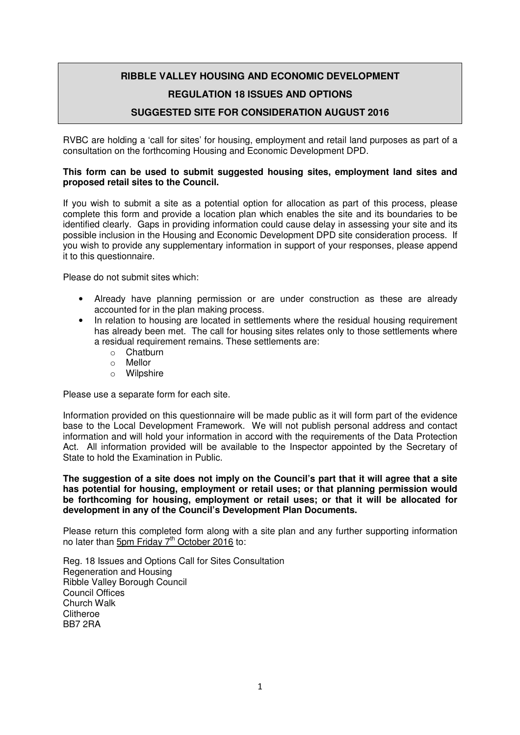# **RIBBLE VALLEY HOUSING AND ECONOMIC DEVELOPMENT**

## **REGULATION 18 ISSUES AND OPTIONS**

### **SUGGESTED SITE FOR CONSIDERATION AUGUST 2016**

RVBC are holding a 'call for sites' for housing, employment and retail land purposes as part of a consultation on the forthcoming Housing and Economic Development DPD.

#### **This form can be used to submit suggested housing sites, employment land sites and proposed retail sites to the Council.**

If you wish to submit a site as a potential option for allocation as part of this process, please complete this form and provide a location plan which enables the site and its boundaries to be identified clearly. Gaps in providing information could cause delay in assessing your site and its possible inclusion in the Housing and Economic Development DPD site consideration process. If you wish to provide any supplementary information in support of your responses, please append it to this questionnaire.

Please do not submit sites which:

- Already have planning permission or are under construction as these are already accounted for in the plan making process.
- In relation to housing are located in settlements where the residual housing requirement has already been met. The call for housing sites relates only to those settlements where a residual requirement remains. These settlements are:
	- o Chatburn
	- o Mellor
	- o Wilpshire

Please use a separate form for each site.

Information provided on this questionnaire will be made public as it will form part of the evidence base to the Local Development Framework. We will not publish personal address and contact information and will hold your information in accord with the requirements of the Data Protection Act. All information provided will be available to the Inspector appointed by the Secretary of State to hold the Examination in Public.

**The suggestion of a site does not imply on the Council's part that it will agree that a site has potential for housing, employment or retail uses; or that planning permission would be forthcoming for housing, employment or retail uses; or that it will be allocated for development in any of the Council's Development Plan Documents.** 

Please return this completed form along with a site plan and any further supporting information no later than 5pm Friday 7<sup>th</sup> October 2016 to:

Reg. 18 Issues and Options Call for Sites Consultation Regeneration and Housing Ribble Valley Borough Council Council Offices Church Walk **Clitheroe** BB7 2RA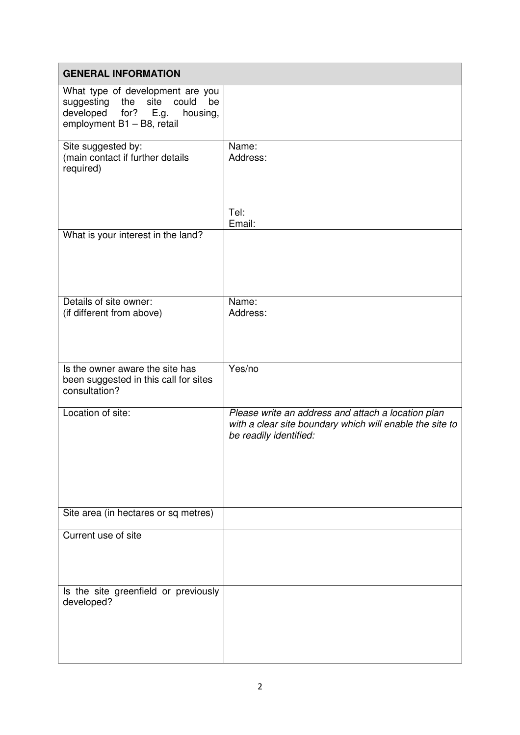| <b>GENERAL INFORMATION</b>                                                                                                              |                                                                                                                                          |
|-----------------------------------------------------------------------------------------------------------------------------------------|------------------------------------------------------------------------------------------------------------------------------------------|
| What type of development are you<br>suggesting the site<br>could<br>be<br>developed for? E.g.<br>housing,<br>employment B1 - B8, retail |                                                                                                                                          |
| Site suggested by:<br>(main contact if further details<br>required)                                                                     | Name:<br>Address:                                                                                                                        |
|                                                                                                                                         | Tel:<br>Email:                                                                                                                           |
| What is your interest in the land?                                                                                                      |                                                                                                                                          |
| Details of site owner:<br>(if different from above)                                                                                     | Name:<br>Address:                                                                                                                        |
| Is the owner aware the site has<br>been suggested in this call for sites<br>consultation?                                               | Yes/no                                                                                                                                   |
| Location of site:                                                                                                                       | Please write an address and attach a location plan<br>with a clear site boundary which will enable the site to<br>be readily identified: |
| Site area (in hectares or sq metres)                                                                                                    |                                                                                                                                          |
| Current use of site                                                                                                                     |                                                                                                                                          |
| Is the site greenfield or previously<br>developed?                                                                                      |                                                                                                                                          |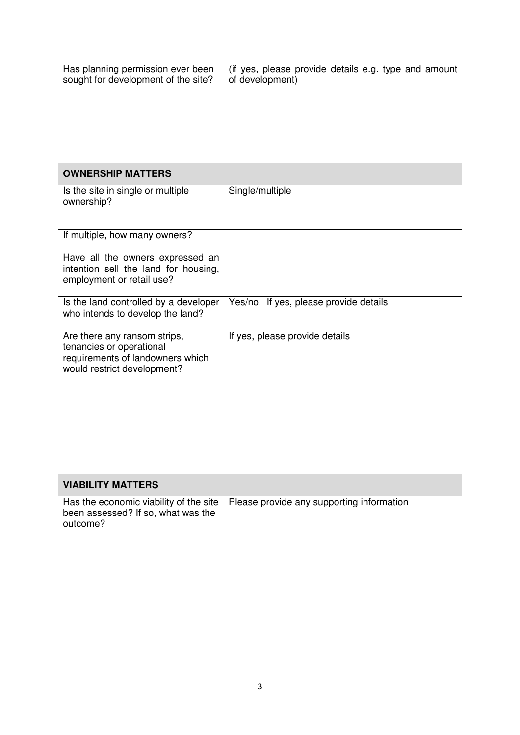| Has planning permission ever been<br>sought for development of the site?                                                    | (if yes, please provide details e.g. type and amount<br>of development) |
|-----------------------------------------------------------------------------------------------------------------------------|-------------------------------------------------------------------------|
| <b>OWNERSHIP MATTERS</b>                                                                                                    |                                                                         |
| Is the site in single or multiple<br>ownership?                                                                             | Single/multiple                                                         |
| If multiple, how many owners?                                                                                               |                                                                         |
| Have all the owners expressed an<br>intention sell the land for housing,<br>employment or retail use?                       |                                                                         |
| Is the land controlled by a developer<br>who intends to develop the land?                                                   | Yes/no. If yes, please provide details                                  |
| Are there any ransom strips,<br>tenancies or operational<br>requirements of landowners which<br>would restrict development? | If yes, please provide details                                          |
| <b>VIABILITY MATTERS</b>                                                                                                    |                                                                         |
| Has the economic viability of the site<br>been assessed? If so, what was the<br>outcome?                                    | Please provide any supporting information                               |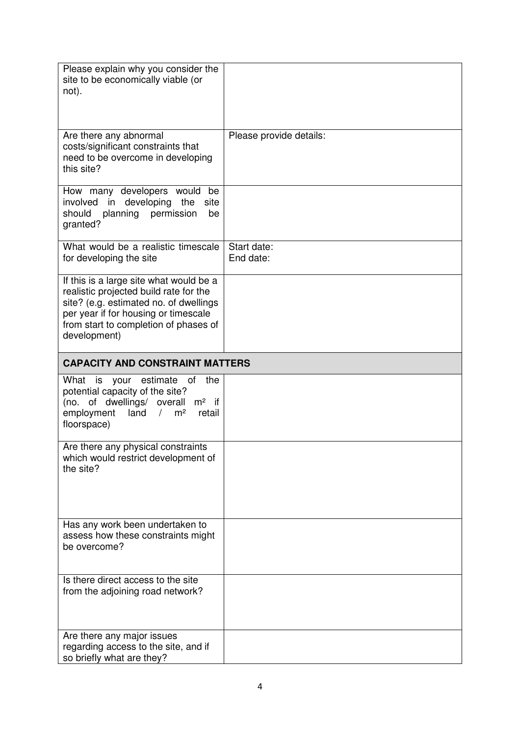| Please explain why you consider the<br>site to be economically viable (or<br>not).                                                                                                                                           |                          |
|------------------------------------------------------------------------------------------------------------------------------------------------------------------------------------------------------------------------------|--------------------------|
| Are there any abnormal<br>costs/significant constraints that<br>need to be overcome in developing<br>this site?                                                                                                              | Please provide details:  |
| How many developers would<br>be<br>involved in developing the<br>site<br>should planning permission<br>be<br>granted?                                                                                                        |                          |
| What would be a realistic timescale<br>for developing the site                                                                                                                                                               | Start date:<br>End date: |
| If this is a large site what would be a<br>realistic projected build rate for the<br>site? (e.g. estimated no. of dwellings<br>per year if for housing or timescale<br>from start to completion of phases of<br>development) |                          |
| <b>CAPACITY AND CONSTRAINT MATTERS</b>                                                                                                                                                                                       |                          |
| What is your estimate of<br>the<br>potential capacity of the site?<br>(no. of dwellings/ overall m <sup>2</sup> if<br>land<br>employment<br>$\sqrt{2}$<br>m <sup>2</sup><br>retail<br>floorspace)                            |                          |
| Are there any physical constraints<br>which would restrict development of<br>the site?                                                                                                                                       |                          |
| Has any work been undertaken to<br>assess how these constraints might<br>be overcome?                                                                                                                                        |                          |
| Is there direct access to the site<br>from the adjoining road network?                                                                                                                                                       |                          |
| Are there any major issues                                                                                                                                                                                                   |                          |